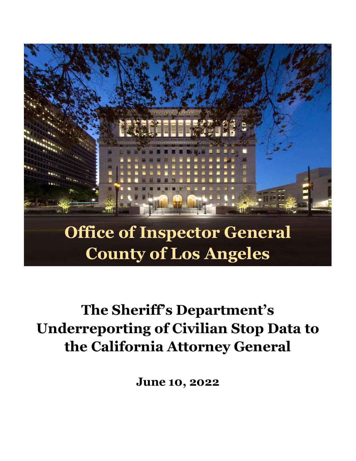

# **The Sheriff's Department's Underreporting of Civilian Stop Data to the California Attorney General**

**June 10, 2022**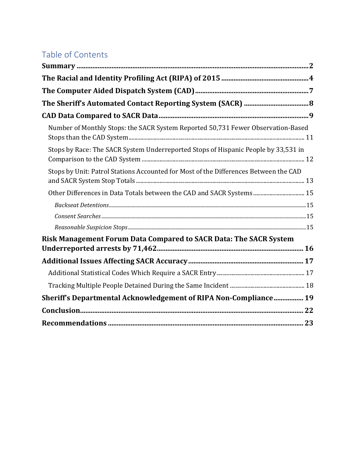## Table of Contents

| Number of Monthly Stops: the SACR System Reported 50,731 Fewer Observation-Based     |  |
|--------------------------------------------------------------------------------------|--|
| Stops by Race: The SACR System Underreported Stops of Hispanic People by 33,531 in   |  |
| Stops by Unit: Patrol Stations Accounted for Most of the Differences Between the CAD |  |
| Other Differences in Data Totals between the CAD and SACR Systems 15                 |  |
|                                                                                      |  |
|                                                                                      |  |
|                                                                                      |  |
| Risk Management Forum Data Compared to SACR Data: The SACR System                    |  |
|                                                                                      |  |
|                                                                                      |  |
|                                                                                      |  |
| Sheriff's Departmental Acknowledgement of RIPA Non-Compliance 19                     |  |
|                                                                                      |  |
|                                                                                      |  |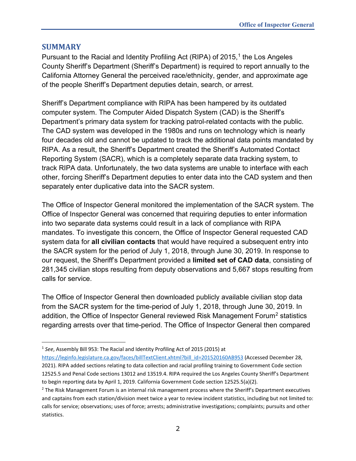#### <span id="page-2-0"></span>**SUMMARY**

Pursuant to the Racial and Identity Profiling Act (RIPA) of 2015, [1](#page-2-1) the Los Angeles County Sheriff's Department (Sheriff's Department) is required to report annually to the California Attorney General the perceived race/ethnicity, gender, and approximate age of the people Sheriff's Department deputies detain, search, or arrest.

Sheriff's Department compliance with RIPA has been hampered by its outdated computer system. The Computer Aided Dispatch System (CAD) is the Sheriff's Department's primary data system for tracking patrol-related contacts with the public. The CAD system was developed in the 1980s and runs on technology which is nearly four decades old and cannot be updated to track the additional data points mandated by RIPA. As a result, the Sheriff's Department created the Sheriff's Automated Contact Reporting System (SACR), which is a completely separate data tracking system, to track RIPA data. Unfortunately, the two data systems are unable to interface with each other, forcing Sheriff's Department deputies to enter data into the CAD system and then separately enter duplicative data into the SACR system.

The Office of Inspector General monitored the implementation of the SACR system. The Office of Inspector General was concerned that requiring deputies to enter information into two separate data systems could result in a lack of compliance with RIPA mandates. To investigate this concern, the Office of Inspector General requested CAD system data for **all civilian contacts** that would have required a subsequent entry into the SACR system for the period of July 1, 2018, through June 30, 2019. In response to our request, the Sheriff's Department provided a **limited set of CAD data**, consisting of 281,345 civilian stops resulting from deputy observations and 5,667 stops resulting from calls for service.

The Office of Inspector General then downloaded publicly available civilian stop data from the SACR system for the time-period of July 1, 2018, through June 30, 2019. In addition, the Office of Inspector General reviewed Risk Management Forum<sup>2</sup> statistics regarding arrests over that time-period. The Office of Inspector General then compared

<span id="page-2-1"></span><sup>1</sup> *See*, Assembly Bill 953: The Racial and Identity Profiling Act of 2015 (2015) at

[https://leginfo.legislature.ca.gov/faces/billTextClient.xhtml?bill\\_id=201520160AB953](https://leginfo.legislature.ca.gov/faces/billTextClient.xhtml?bill_id=201520160AB953) (Accessed December 28, 2021). RIPA added sections relating to data collection and racial profiling training to Government Code section 12525.5 and Penal Code sections 13012 and 13519.4. RIPA required the Los Angeles County Sheriff's Department to begin reporting data by April 1, 2019. California Government Code section 12525.5(a)(2).

<span id="page-2-2"></span><sup>&</sup>lt;sup>2</sup> The Risk Management Forum is an internal risk management process where the Sheriff's Department executives and captains from each station/division meet twice a year to review incident statistics, including but not limited to: calls for service; observations; uses of force; arrests; administrative investigations; complaints; pursuits and other statistics.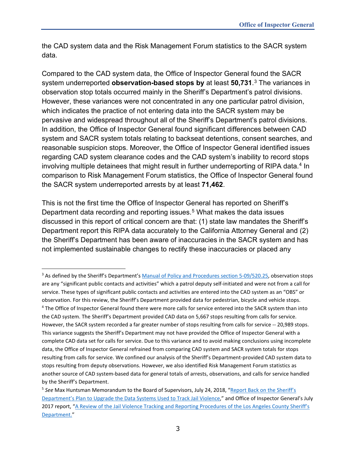the CAD system data and the Risk Management Forum statistics to the SACR system data.

Compared to the CAD system data, the Office of Inspector General found the SACR system underreported **observation-based stops by** at least **50,731**. [3](#page-3-0) The variances in observation stop totals occurred mainly in the Sheriff's Department's patrol divisions. However, these variances were not concentrated in any one particular patrol division, which indicates the practice of not entering data into the SACR system may be pervasive and widespread throughout all of the Sheriff's Department's patrol divisions. In addition, the Office of Inspector General found significant differences between CAD system and SACR system totals relating to backseat detentions, consent searches, and reasonable suspicion stops. Moreover, the Office of Inspector General identified issues regarding CAD system clearance codes and the CAD system's inability to record stops involving multiple detainees that might result in further underreporting of RIPA data.<sup>[4](#page-3-1)</sup> In comparison to Risk Management Forum statistics, the Office of Inspector General found the SACR system underreported arrests by at least **71,462**.

This is not the first time the Office of Inspector General has reported on Sheriff's Department data recording and reporting issues. [5](#page-3-2) What makes the data issues discussed in this report of critical concern are that: (1) state law mandates the Sheriff's Department report this RIPA data accurately to the California Attorney General and (2) the Sheriff's Department has been aware of inaccuracies in the SACR system and has not implemented sustainable changes to rectify these inaccuracies or placed any

<span id="page-3-1"></span><span id="page-3-0"></span><sup>&</sup>lt;sup>3</sup> As defined by the Sheriff's Department's [Manual of Policy and Procedures section 5-09/520.25,](http://pars.lasd.org/Viewer/Manuals/12285/Content/12497?showHistorical=True) observation stops are any "significant public contacts and activities" which a patrol deputy self-initiated and were not from a call for service. These types of significant public contacts and activities are entered into the CAD system as an "OBS" or observation. For this review, the Sheriff's Department provided data for pedestrian, bicycle and vehicle stops. <sup>4</sup> The Office of Inspector General found there were more calls for service entered into the SACR system than into the CAD system. The Sheriff's Department provided CAD data on 5,667 stops resulting from calls for service. However, the SACR system recorded a far greater number of stops resulting from calls for service -- 20,989 stops. This variance suggests the Sheriff's Department may not have provided the Office of Inspector General with a complete CAD data set for calls for service. Due to this variance and to avoid making conclusions using incomplete data, the Office of Inspector General refrained from comparing CAD system and SACR system totals for stops resulting from calls for service. We confined our analysis of the Sheriff's Department-provided CAD system data to stops resulting from deputy observations. However, we also identified Risk Management Forum statistics as another source of CAD system-based data for general totals of arrests, observations, and calls for service handled by the Sheriff's Department.

<span id="page-3-2"></span><sup>5</sup> *See* Max Huntsman Memorandum to the Board of Supervisors, July 24, 2018, ["Report Back on the Sheriff's](https://assets-us-01.kc-usercontent.com/0234f496-d2b7-00b6-17a4-b43e949b70a2/6d7dcf89-2153-4179-ae46-ac6d51fcb8a1/Data%20Collection%20Response%20Memo%20to%20BOS.pdf)  [Department's Plan to Upgrade the Data Systems Used to Track Jail Violence,"](https://assets-us-01.kc-usercontent.com/0234f496-d2b7-00b6-17a4-b43e949b70a2/6d7dcf89-2153-4179-ae46-ac6d51fcb8a1/Data%20Collection%20Response%20Memo%20to%20BOS.pdf) and Office of Inspector General's July 2017 report, ["A Review of the Jail Violence Tracking and Reporting Procedures of the Los](https://assets-us-01.kc-usercontent.com/0234f496-d2b7-00b6-17a4-b43e949b70a2/c6b5e350-36b4-4252-b489-84c9fd1c5bd3/A%20Review%20of%20the%20Jail%20Violence%20Tracking%20and%20Reporting%20Procedures%20of%20the%20Los%20Angeles%20County%20Sheriffs%20Department.pdf) Angeles County Sheriff's [Department."](https://assets-us-01.kc-usercontent.com/0234f496-d2b7-00b6-17a4-b43e949b70a2/c6b5e350-36b4-4252-b489-84c9fd1c5bd3/A%20Review%20of%20the%20Jail%20Violence%20Tracking%20and%20Reporting%20Procedures%20of%20the%20Los%20Angeles%20County%20Sheriffs%20Department.pdf)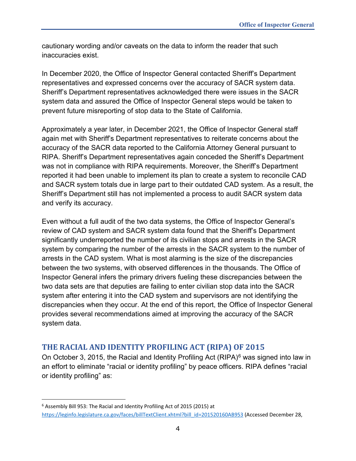cautionary wording and/or caveats on the data to inform the reader that such inaccuracies exist.

In December 2020, the Office of Inspector General contacted Sheriff's Department representatives and expressed concerns over the accuracy of SACR system data. Sheriff's Department representatives acknowledged there were issues in the SACR system data and assured the Office of Inspector General steps would be taken to prevent future misreporting of stop data to the State of California.

Approximately a year later, in December 2021, the Office of Inspector General staff again met with Sheriff's Department representatives to reiterate concerns about the accuracy of the SACR data reported to the California Attorney General pursuant to RIPA. Sheriff's Department representatives again conceded the Sheriff's Department was not in compliance with RIPA requirements. Moreover, the Sheriff's Department reported it had been unable to implement its plan to create a system to reconcile CAD and SACR system totals due in large part to their outdated CAD system. As a result, the Sheriff's Department still has not implemented a process to audit SACR system data and verify its accuracy.

Even without a full audit of the two data systems, the Office of Inspector General's review of CAD system and SACR system data found that the Sheriff's Department significantly underreported the number of its civilian stops and arrests in the SACR system by comparing the number of the arrests in the SACR system to the number of arrests in the CAD system. What is most alarming is the size of the discrepancies between the two systems, with observed differences in the thousands. The Office of Inspector General infers the primary drivers fueling these discrepancies between the two data sets are that deputies are failing to enter civilian stop data into the SACR system after entering it into the CAD system and supervisors are not identifying the discrepancies when they occur. At the end of this report, the Office of Inspector General provides several recommendations aimed at improving the accuracy of the SACR system data.

### <span id="page-4-0"></span>**THE RACIAL AND IDENTITY PROFILING ACT (RIPA) OF 2015**

On October 3, 2015, the Racial and Identity Profiling Act  $(RIPA)^6$  $(RIPA)^6$  was signed into law in an effort to eliminate "racial or identity profiling" by peace officers. RIPA defines "racial or identity profiling" as:

<span id="page-4-1"></span><sup>6</sup> Assembly Bill 953: The Racial and Identity Profiling Act of 2015 (2015) at [https://leginfo.legislature.ca.gov/faces/billTextClient.xhtml?bill\\_id=201520160AB953](https://leginfo.legislature.ca.gov/faces/billTextClient.xhtml?bill_id=201520160AB953) (Accessed December 28,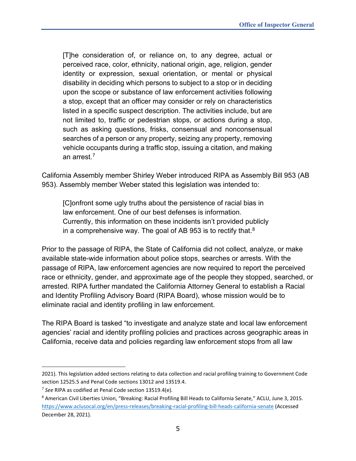[T]he consideration of, or reliance on, to any degree, actual or perceived race, color, ethnicity, national origin, age, religion, gender identity or expression, sexual orientation, or mental or physical disability in deciding which persons to subject to a stop or in deciding upon the scope or substance of law enforcement activities following a stop, except that an officer may consider or rely on characteristics listed in a specific suspect description. The activities include, but are not limited to, traffic or pedestrian stops, or actions during a stop, such as asking questions, frisks, consensual and nonconsensual searches of a person or any property, seizing any property, removing vehicle occupants during a traffic stop, issuing a citation, and making an arrest.[7](#page-5-0)

California Assembly member Shirley Weber introduced RIPA as Assembly Bill 953 (AB 953). Assembly member Weber stated this legislation was intended to:

[C]onfront some ugly truths about the persistence of racial bias in law enforcement. One of our best defenses is information. Currently, this information on these incidents isn't provided publicly in a comprehensive way. The goal of AB 953 is to rectify that. $8$ 

Prior to the passage of RIPA, the State of California did not collect, analyze, or make available state-wide information about police stops, searches or arrests. With the passage of RIPA, law enforcement agencies are now required to report the perceived race or ethnicity, gender, and approximate age of the people they stopped, searched, or arrested. RIPA further mandated the California Attorney General to establish a Racial and Identity Profiling Advisory Board (RIPA Board), whose mission would be to eliminate racial and identity profiling in law enforcement.

The RIPA Board is tasked "to investigate and analyze state and local law enforcement agencies' racial and identity profiling policies and practices across geographic areas in California, receive data and policies regarding law enforcement stops from all law

<sup>2021).</sup> This legislation added sections relating to data collection and racial profiling training to Government Code section 12525.5 and Penal Code sections 13012 and 13519.4.

<span id="page-5-0"></span><sup>7</sup> *See* RIPA as codified at Penal Code section 13519.4(e).

<span id="page-5-1"></span><sup>8</sup> American Civil Liberties Union, "Breaking: Racial Profiling Bill Heads to California Senate," ACLU, June 3, 2015. <https://www.aclusocal.org/en/press-releases/breaking-racial-profiling-bill-heads-california-senate> (Accessed December 28, 2021).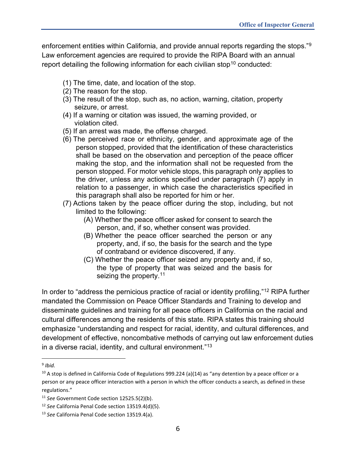enforcement entities within California, and provide annual reports regarding the stops.["9](#page-6-0) Law enforcement agencies are required to provide the RIPA Board with an annual report detailing the following information for each civilian stop<sup>[10](#page-6-1)</sup> conducted:

- (1) The time, date, and location of the stop.
- (2) The reason for the stop.
- (3) The result of the stop, such as, no action, warning, citation, property seizure, or arrest.
- (4) If a warning or citation was issued, the warning provided, or violation cited.
- (5) If an arrest was made, the offense charged.
- (6) The perceived race or ethnicity, gender, and approximate age of the person stopped, provided that the identification of these characteristics shall be based on the observation and perception of the peace officer making the stop, and the information shall not be requested from the person stopped. For motor vehicle stops, this paragraph only applies to the driver, unless any actions specified under paragraph (7) apply in relation to a passenger, in which case the characteristics specified in this paragraph shall also be reported for him or her.
- (7) Actions taken by the peace officer during the stop, including, but not limited to the following:
	- (A) Whether the peace officer asked for consent to search the person, and, if so, whether consent was provided.
	- (B) Whether the peace officer searched the person or any property, and, if so, the basis for the search and the type of contraband or evidence discovered, if any.
	- (C) Whether the peace officer seized any property and, if so, the type of property that was seized and the basis for seizing the property.<sup>[11](#page-6-2)</sup>

In order to "address the pernicious practice of racial or identity profiling,"<sup>[12](#page-6-3)</sup> RIPA further mandated the Commission on Peace Officer Standards and Training to develop and disseminate guidelines and training for all peace officers in California on the racial and cultural differences among the residents of this state. RIPA states this training should emphasize "understanding and respect for racial, identity, and cultural differences, and development of effective, noncombative methods of carrying out law enforcement duties in a diverse racial, identity, and cultural environment."[13](#page-6-4)

<span id="page-6-0"></span><sup>9</sup> *Ibid.*

<span id="page-6-1"></span><sup>&</sup>lt;sup>10</sup> A stop is defined in California Code of Regulations 999.224 (a)(14) as "any detention by a peace officer or a person or any peace officer interaction with a person in which the officer conducts a search, as defined in these regulations."

<span id="page-6-2"></span><sup>11</sup> *See* Government Code section 12525.5(2)(b).

<span id="page-6-3"></span><sup>12</sup> *See* California Penal Code section 13519.4(d)(5).

<span id="page-6-4"></span><sup>13</sup> *See* California Penal Code section 13519.4(a).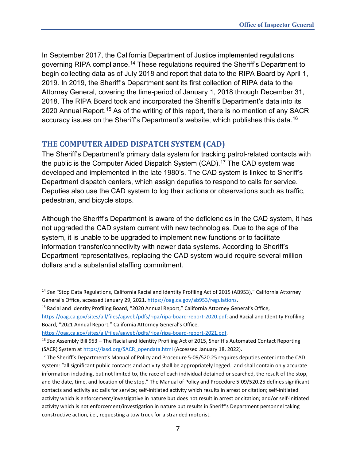In September 2017, the California Department of Justice implemented regulations governing RIPA compliance.<sup>14</sup> These regulations required the Sheriff's Department to begin collecting data as of July 2018 and report that data to the RIPA Board by April 1, 2019. In 2019, the Sheriff's Department sent its first collection of RIPA data to the Attorney General, covering the time-period of January 1, 2018 through December 31, 2018. The RIPA Board took and incorporated the Sheriff's Department's data into its 2020 Annual Report.<sup>[15](#page-7-2)</sup> As of the writing of this report, there is no mention of any SACR accuracy issues on the Sheriff's Department's website, which publishes this data.[16](#page-7-3)

## <span id="page-7-0"></span>**THE COMPUTER AIDED DISPATCH SYSTEM (CAD)**

The Sheriff's Department's primary data system for tracking patrol-related contacts with the public is the Computer Aided Dispatch System  $(CAD)$ .<sup>[17](#page-7-4)</sup> The CAD system was developed and implemented in the late 1980's. The CAD system is linked to Sheriff's Department dispatch centers, which assign deputies to respond to calls for service. Deputies also use the CAD system to log their actions or observations such as traffic, pedestrian, and bicycle stops.

Although the Sheriff's Department is aware of the deficiencies in the CAD system, it has not upgraded the CAD system current with new technologies. Due to the age of the system, it is unable to be upgraded to implement new functions or to facilitate information transfer/connectivity with newer data systems. According to Sheriff's Department representatives, replacing the CAD system would require several million dollars and a substantial staffing commitment.

<span id="page-7-2"></span><sup>15</sup> Racial and Identity Profiling Board, "2020 Annual Report," California Attorney General's Office,

[https://oag.ca.gov/sites/all/files/agweb/pdfs/ripa/ripa-board-report-2020.pdf;](https://oag.ca.gov/sites/all/files/agweb/pdfs/ripa/ripa-board-report-2020.pdf) and Racial and Identity Profiling Board, "2021 Annual Report," California Attorney General's Office,

[https://oag.ca.gov/sites/all/files/agweb/pdfs/ripa/ripa-board-report-2021.pdf.](https://oag.ca.gov/sites/all/files/agweb/pdfs/ripa/ripa-board-report-2021.pdf)

<span id="page-7-1"></span><sup>14</sup> *See* "Stop Data Regulations, California Racial and Identity Profiling Act of 2015 (AB953)," California Attorney General's Office, accessed January 29, 2021. [https://oag.ca.gov/ab953/regulations.](https://oag.ca.gov/ab953/regulations)

<span id="page-7-3"></span><sup>16</sup> *See* Assembly Bill 953 – The Racial and Identity Profiling Act of 2015, Sheriff's Automated Contact Reporting (SACR) System a[t https://lasd.org/SACR\\_opendata.html](https://lasd.org/SACR_opendata.html) (Accessed January 18, 2022).

<span id="page-7-4"></span><sup>&</sup>lt;sup>17</sup> The Sheriff's Department's Manual of Policy and Procedure 5-09/520.25 requires deputies enter into the CAD system: "all significant public contacts and activity shall be appropriately logged…and shall contain only accurate information including, but not limited to, the race of each individual detained or searched, the result of the stop, and the date, time, and location of the stop." The Manual of Policy and Procedure 5-09/520.25 defines significant contacts and activity as: calls for service; self-initiated activity which results in arrest or citation; self-initiated activity which is enforcement/investigative in nature but does not result in arrest or citation; and/or self-initiated activity which is not enforcement/investigation in nature but results in Sheriff's Department personnel taking constructive action, i.e., requesting a tow truck for a stranded motorist.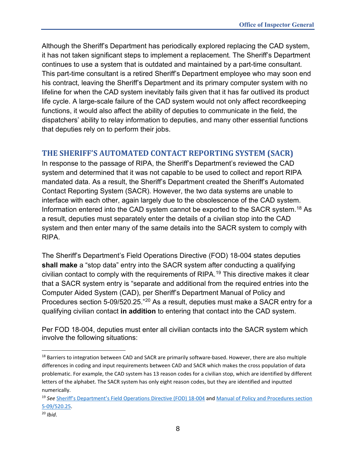Although the Sheriff's Department has periodically explored replacing the CAD system, it has not taken significant steps to implement a replacement. The Sheriff's Department continues to use a system that is outdated and maintained by a part-time consultant. This part-time consultant is a retired Sheriff's Department employee who may soon end his contract, leaving the Sheriff's Department and its primary computer system with no lifeline for when the CAD system inevitably fails given that it has far outlived its product life cycle. A large-scale failure of the CAD system would not only affect recordkeeping functions, it would also affect the ability of deputies to communicate in the field, the dispatchers' ability to relay information to deputies, and many other essential functions that deputies rely on to perform their jobs.

## <span id="page-8-0"></span>**THE SHERIFF'S AUTOMATED CONTACT REPORTING SYSTEM (SACR)**

In response to the passage of RIPA, the Sheriff's Department's reviewed the CAD system and determined that it was not capable to be used to collect and report RIPA mandated data. As a result, the Sheriff's Department created the Sheriff's Automated Contact Reporting System (SACR). However, the two data systems are unable to interface with each other, again largely due to the obsolescence of the CAD system. Information entered into the CAD system cannot be exported to the SACR system.[18](#page-8-1) As a result, deputies must separately enter the details of a civilian stop into the CAD system and then enter many of the same details into the SACR system to comply with RIPA.

The Sheriff's Department's Field Operations Directive (FOD) 18-004 states deputies **shall make** a "stop data" entry into the SACR system after conducting a qualifying civilian contact to comply with the requirements of RIPA. [19](#page-8-2) This directive makes it clear that a SACR system entry is "separate and additional from the required entries into the Computer Aided System (CAD), per Sheriff's Department Manual of Policy and Procedures section 5-09/520.25."[20](#page-8-3) As a result, deputies must make a SACR entry for a qualifying civilian contact **in addition** to entering that contact into the CAD system.

Per FOD 18-004, deputies must enter all civilian contacts into the SACR system which involve the following situations:

<span id="page-8-1"></span><sup>&</sup>lt;sup>18</sup> Barriers to integration between CAD and SACR are primarily software-based. However, there are also multiple differences in coding and input requirements between CAD and SACR which makes the cross population of data problematic. For example, the CAD system has 13 reason codes for a civilian stop, which are identified by different letters of the alphabet. The SACR system has only eight reason codes, but they are identified and inputted numerically.

<span id="page-8-2"></span><sup>19</sup> *See* [Sheriff's Department's Field Operations Directive \(FOD\) 18-004](http://pars.lasd.org/Viewer/Manuals/13233/Content/13238?showHistorical=True) an[d Manual of Policy and Procedures section](http://pars.lasd.org/Viewer/Manuals/12285/Content/12497?showHistorical=True)  [5-09/520.25.](http://pars.lasd.org/Viewer/Manuals/12285/Content/12497?showHistorical=True)

<span id="page-8-3"></span><sup>20</sup> *Ibid*.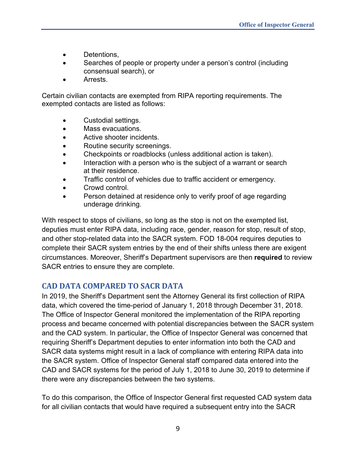- Detentions,
- Searches of people or property under a person's control (including consensual search), or
- Arrests.

Certain civilian contacts are exempted from RIPA reporting requirements. The exempted contacts are listed as follows:

- Custodial settings.
- Mass evacuations.
- Active shooter incidents.
- Routine security screenings.
- Checkpoints or roadblocks (unless additional action is taken).
- Interaction with a person who is the subject of a warrant or search at their residence.
- Traffic control of vehicles due to traffic accident or emergency.
- Crowd control.
- Person detained at residence only to verify proof of age regarding underage drinking.

With respect to stops of civilians, so long as the stop is not on the exempted list, deputies must enter RIPA data, including race, gender, reason for stop, result of stop, and other stop-related data into the SACR system. FOD 18-004 requires deputies to complete their SACR system entries by the end of their shifts unless there are exigent circumstances. Moreover, Sheriff's Department supervisors are then **required** to review SACR entries to ensure they are complete.

## <span id="page-9-0"></span>**CAD DATA COMPARED TO SACR DATA**

In 2019, the Sheriff's Department sent the Attorney General its first collection of RIPA data, which covered the time-period of January 1, 2018 through December 31, 2018. The Office of Inspector General monitored the implementation of the RIPA reporting process and became concerned with potential discrepancies between the SACR system and the CAD system. In particular, the Office of Inspector General was concerned that requiring Sheriff's Department deputies to enter information into both the CAD and SACR data systems might result in a lack of compliance with entering RIPA data into the SACR system. Office of Inspector General staff compared data entered into the CAD and SACR systems for the period of July 1, 2018 to June 30, 2019 to determine if there were any discrepancies between the two systems.

To do this comparison, the Office of Inspector General first requested CAD system data for all civilian contacts that would have required a subsequent entry into the SACR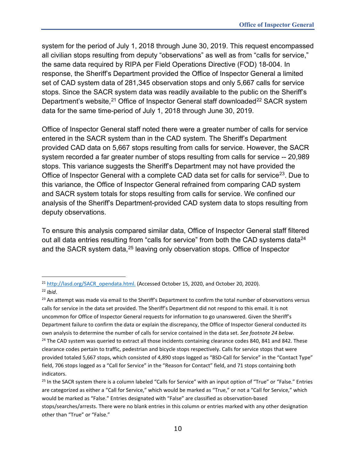system for the period of July 1, 2018 through June 30, 2019. This request encompassed all civilian stops resulting from deputy "observations" as well as from "calls for service," the same data required by RIPA per Field Operations Directive (FOD) 18-004. In response, the Sheriff's Department provided the Office of Inspector General a limited set of CAD system data of 281,345 observation stops and only 5,667 calls for service stops. Since the SACR system data was readily available to the public on the Sheriff's Department's website,<sup>[21](#page-10-0)</sup> Office of Inspector General staff downloaded<sup>[22](#page-10-1)</sup> SACR system data for the same time-period of July 1, 2018 through June 30, 2019.

Office of Inspector General staff noted there were a greater number of calls for service entered in the SACR system than in the CAD system. The Sheriff's Department provided CAD data on 5,667 stops resulting from calls for service. However, the SACR system recorded a far greater number of stops resulting from calls for service -- 20,989 stops. This variance suggests the Sheriff's Department may not have provided the Office of Inspector General with a complete CAD data set for calls for service<sup>23</sup>. Due to this variance, the Office of Inspector General refrained from comparing CAD system and SACR system totals for stops resulting from calls for service. We confined our analysis of the Sheriff's Department-provided CAD system data to stops resulting from deputy observations.

To ensure this analysis compared similar data, Office of Inspector General staff filtered out all data entries resulting from "calls for service" from both the CAD systems data<sup>24</sup> and the SACR system data,<sup>[25](#page-10-4)</sup> leaving only observation stops. Office of Inspector

<span id="page-10-0"></span><sup>&</sup>lt;sup>21</sup> [http://lasd.org/SACR\\_opendata.html.](http://lasd.org/SACR_opendata.html) (Accessed October 15, 2020, and October 20, 2020).

<span id="page-10-1"></span><sup>22</sup> *Ibid*.

<span id="page-10-2"></span><sup>&</sup>lt;sup>23</sup> An attempt was made via email to the Sheriff's Department to confirm the total number of observations versus calls for service in the data set provided. The Sheriff's Department did not respond to this email. It is not uncommon for Office of Inspector General requests for information to go unanswered. Given the Sheriff's Department failure to confirm the data or explain the discrepancy, the Office of Inspector General conducted its own analysis to determine the number of calls for service contained in the data set. *See footnote 24 below*.

<span id="page-10-3"></span><sup>&</sup>lt;sup>24</sup> The CAD system was queried to extract all those incidents containing clearance codes 840, 841 and 842. These clearance codes pertain to traffic, pedestrian and bicycle stops respectively. Calls for service stops that were provided totaled 5,667 stops, which consisted of 4,890 stops logged as "BSD-Call for Service" in the "Contact Type" field, 706 stops logged as a "Call for Service" in the "Reason for Contact" field, and 71 stops containing both indicators.

<span id="page-10-4"></span><sup>&</sup>lt;sup>25</sup> In the SACR system there is a column labeled "Calls for Service" with an input option of "True" or "False." Entries are categorized as either a "Call for Service," which would be marked as "True," or not a "Call for Service," which would be marked as "False." Entries designated with "False" are classified as observation-based stops/searches/arrests. There were no blank entries in this column or entries marked with any other designation other than "True" or "False."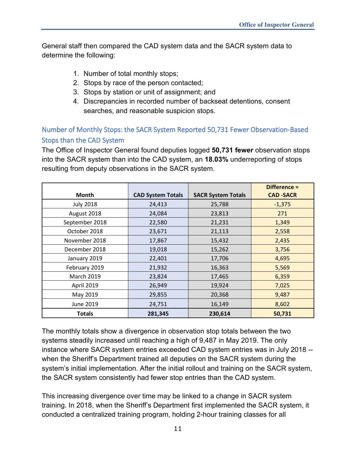General staff then compared the CAD system data and the SACR system data to determine the following:

- 1. Number of total monthly stops;
- 2. Stops by race of the person contacted;
- 3. Stops by station or unit of assignment; and
- 4. Discrepancies in recorded number of backseat detentions, consent searches, and reasonable suspicion stops.

## <span id="page-11-0"></span>Number of Monthly Stops: the SACR System Reported 50,731 Fewer Observation-Based Stops than the CAD System

The Office of Inspector General found deputies logged **50,731 fewer** observation stops into the SACR system than into the CAD system, an **18.03%** underreporting of stops resulting from deputy observations in the SACR system.

|                   |                          |                           | Difference =     |
|-------------------|--------------------------|---------------------------|------------------|
| Month             | <b>CAD System Totals</b> | <b>SACR System Totals</b> | <b>CAD -SACR</b> |
| <b>July 2018</b>  | 24,413                   | 25,788                    | $-1,375$         |
| August 2018       | 24,084                   | 23,813                    | 271              |
| September 2018    | 22,580                   | 21,231                    | 1,349            |
| October 2018      | 23,671                   | 21,113                    | 2,558            |
| November 2018     | 17,867                   | 15,432                    | 2,435            |
| December 2018     | 19,018                   | 15,262                    | 3,756            |
| January 2019      | 22,401                   | 17,706                    | 4,695            |
| February 2019     | 21,932                   | 16,363                    | 5,569            |
| <b>March 2019</b> | 23,824                   | 17,465                    | 6,359            |
| <b>April 2019</b> | 26,949                   | 19,924                    | 7,025            |
| May 2019          | 29,855                   | 20,368                    | 9,487            |
| June 2019         | 24,751                   | 16,149                    | 8,602            |
| <b>Totals</b>     | 281,345                  | 230,614                   | 50,731           |

The monthly totals show a divergence in observation stop totals between the two systems steadily increased until reaching a high of 9,487 in May 2019. The only instance where SACR system entries exceeded CAD system entries was in July 2018 - when the Sheriff's Department trained all deputies on the SACR system during the system's initial implementation. After the initial rollout and training on the SACR system, the SACR system consistently had fewer stop entries than the CAD system.

This increasing divergence over time may be linked to a change in SACR system training. In 2018, when the Sheriff's Department first implemented the SACR system, it conducted a centralized training program, holding 2-hour training classes for all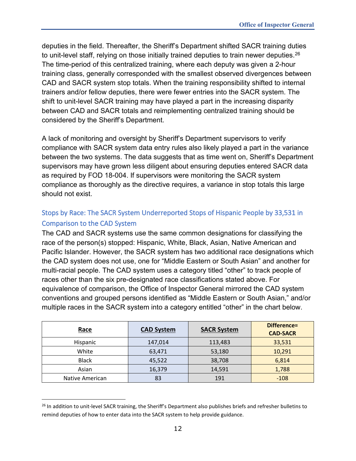deputies in the field. Thereafter, the Sheriff's Department shifted SACR training duties to unit-level staff, relying on those initially trained deputies to train newer deputies.<sup>26</sup> The time-period of this centralized training, where each deputy was given a 2-hour training class, generally corresponded with the smallest observed divergences between CAD and SACR system stop totals. When the training responsibility shifted to internal trainers and/or fellow deputies, there were fewer entries into the SACR system. The shift to unit-level SACR training may have played a part in the increasing disparity between CAD and SACR totals and reimplementing centralized training should be considered by the Sheriff's Department.

A lack of monitoring and oversight by Sheriff's Department supervisors to verify compliance with SACR system data entry rules also likely played a part in the variance between the two systems. The data suggests that as time went on, Sheriff's Department supervisors may have grown less diligent about ensuring deputies entered SACR data as required by FOD 18-004. If supervisors were monitoring the SACR system compliance as thoroughly as the directive requires, a variance in stop totals this large should not exist.

## <span id="page-12-0"></span>Stops by Race: The SACR System Underreported Stops of Hispanic People by 33,531 in Comparison to the CAD System

The CAD and SACR systems use the same common designations for classifying the race of the person(s) stopped: Hispanic, White, Black, Asian, Native American and Pacific Islander. However, the SACR system has two additional race designations which the CAD system does not use, one for "Middle Eastern or South Asian" and another for multi-racial people. The CAD system uses a category titled "other" to track people of races other than the six pre-designated race classifications stated above. For equivalence of comparison, the Office of Inspector General mirrored the CAD system conventions and grouped persons identified as "Middle Eastern or South Asian," and/or multiple races in the SACR system into a category entitled "other" in the chart below.

| Race            | <b>CAD System</b> | <b>SACR System</b> | Difference=<br><b>CAD-SACR</b> |
|-----------------|-------------------|--------------------|--------------------------------|
| Hispanic        | 147,014           | 113,483            | 33,531                         |
| White           | 63,471            | 53,180             | 10,291                         |
| <b>Black</b>    | 45,522            | 38,708             | 6,814                          |
| Asian           | 16,379            | 14,591             | 1,788                          |
| Native American | 83                | 191                | $-108$                         |

<span id="page-12-1"></span><sup>&</sup>lt;sup>26</sup> In addition to unit-level SACR training, the Sheriff's Department also publishes briefs and refresher bulletins to remind deputies of how to enter data into the SACR system to help provide guidance.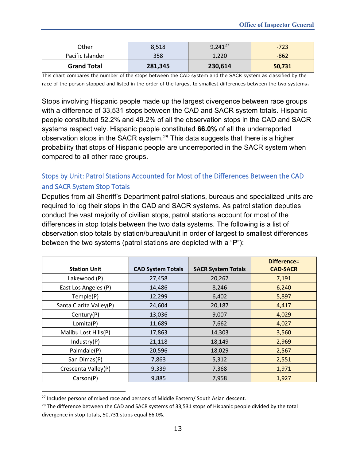| Other              | 8,518   | $9,241^{27}$ | $-723$ |
|--------------------|---------|--------------|--------|
| Pacific Islander   | 358     | 1,220        | $-862$ |
| <b>Grand Total</b> | 281,345 | 230,614      | 50,731 |

This chart compares the number of the stops between the CAD system and the SACR system as classified by the race of the person stopped and listed in the order of the largest to smallest differences between the two systems.

Stops involving Hispanic people made up the largest divergence between race groups with a difference of 33,531 stops between the CAD and SACR system totals. Hispanic people constituted 52.2% and 49.2% of all the observation stops in the CAD and SACR systems respectively. Hispanic people constituted **66.0%** of all the underreported observation stops in the SACR system.[28](#page-13-2) This data suggests that there is a higher probability that stops of Hispanic people are underreported in the SACR system when compared to all other race groups.

## <span id="page-13-0"></span>Stops by Unit: Patrol Stations Accounted for Most of the Differences Between the CAD and SACR System Stop Totals

Deputies from all Sheriff's Department patrol stations, bureaus and specialized units are required to log their stops in the CAD and SACR systems. As patrol station deputies conduct the vast majority of civilian stops, patrol stations account for most of the differences in stop totals between the two data systems. The following is a list of observation stop totals by station/bureau/unit in order of largest to smallest differences between the two systems (patrol stations are depicted with a "P"):

|                         |                          |                           | Difference=     |
|-------------------------|--------------------------|---------------------------|-----------------|
| <b>Station Unit</b>     | <b>CAD System Totals</b> | <b>SACR System Totals</b> | <b>CAD-SACR</b> |
| Lakewood (P)            | 27,458                   | 20,267                    | 7,191           |
| East Los Angeles (P)    | 14,486                   | 8,246                     | 6,240           |
| Temple(P)               | 12,299                   | 6,402                     | 5,897           |
| Santa Clarita Valley(P) | 24,604                   | 20,187                    | 4,417           |
| Century(P)              | 13,036                   | 9,007                     | 4,029           |
| Lomita(P)               | 11,689                   | 7,662                     | 4,027           |
| Malibu Lost Hills(P)    | 17,863                   | 14,303                    | 3,560           |
| Industry(P)             | 21,118                   | 18,149                    | 2,969           |
| Palmdale(P)             | 20,596                   | 18,029                    | 2,567           |
| San Dimas(P)            | 7,863                    | 5,312                     | 2,551           |
| Crescenta Valley(P)     | 9,339                    | 7,368                     | 1,971           |
| Carson(P)               | 9,885                    | 7,958                     | 1,927           |

<span id="page-13-1"></span><sup>&</sup>lt;sup>27</sup> Includes persons of mixed race and persons of Middle Eastern/ South Asian descent.

<span id="page-13-2"></span><sup>&</sup>lt;sup>28</sup> The difference between the CAD and SACR systems of 33,531 stops of Hispanic people divided by the total divergence in stop totals, 50,731 stops equal 66.0%.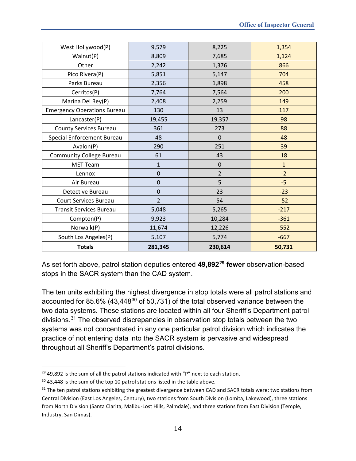| West Hollywood(P)                  | 9,579          | 8,225          | 1,354        |
|------------------------------------|----------------|----------------|--------------|
| Walnut(P)                          | 8,809          | 7,685          | 1,124        |
| Other                              | 2,242          | 1,376          | 866          |
| Pico Rivera(P)                     | 5,851          | 5,147          | 704          |
| Parks Bureau                       | 2,356          | 1,898          | 458          |
| Cerritos(P)                        | 7,764          | 7,564          | 200          |
| Marina Del Rey(P)                  | 2,408          | 2,259          | 149          |
| <b>Emergency Operations Bureau</b> | 130            | 13             | 117          |
| Lancaster(P)                       | 19,455         | 19,357         | 98           |
| <b>County Services Bureau</b>      | 361            | 273            | 88           |
| Special Enforcement Bureau         | 48             | $\mathbf 0$    | 48           |
| Avalon(P)                          | 290            | 251            | 39           |
| <b>Community College Bureau</b>    | 61             | 43             | 18           |
| MET Team                           | 1              | $\pmb{0}$      | $\mathbf{1}$ |
| Lennox                             | $\pmb{0}$      | $\overline{2}$ | $-2$         |
| Air Bureau                         | $\mathbf 0$    | 5              | $-5$         |
| Detective Bureau                   | 0              | 23             | $-23$        |
| <b>Court Services Bureau</b>       | $\overline{2}$ | 54             | $-52$        |
| <b>Transit Services Bureau</b>     | 5,048          | 5,265          | $-217$       |
| Compton(P)                         | 9,923          | 10,284         | $-361$       |
| Norwalk(P)                         | 11,674         | 12,226         | $-552$       |
| South Los Angeles(P)               | 5,107          | 5,774          | $-667$       |
| <b>Totals</b>                      | 281,345        | 230,614        | 50,731       |

As set forth above, patrol station deputies entered **49,892[29](#page-14-0) fewer** observation-based stops in the SACR system than the CAD system.

The ten units exhibiting the highest divergence in stop totals were all patrol stations and accounted for 85.6% (43,448<sup>[30](#page-14-1)</sup> of 50,731) of the total observed variance between the two data systems. These stations are located within all four Sheriff's Department patrol divisions. [31](#page-14-2) The observed discrepancies in observation stop totals between the two systems was not concentrated in any one particular patrol division which indicates the practice of not entering data into the SACR system is pervasive and widespread throughout all Sheriff's Department's patrol divisions.

<span id="page-14-0"></span> $29$  49,892 is the sum of all the patrol stations indicated with "P" next to each station.

<span id="page-14-1"></span><sup>&</sup>lt;sup>30</sup> 43,448 is the sum of the top 10 patrol stations listed in the table above.

<span id="page-14-2"></span><sup>&</sup>lt;sup>31</sup> The ten patrol stations exhibiting the greatest divergence between CAD and SACR totals were: two stations from Central Division (East Los Angeles, Century), two stations from South Division (Lomita, Lakewood), three stations from North Division (Santa Clarita, Malibu-Lost Hills, Palmdale), and three stations from East Division (Temple, Industry, San Dimas).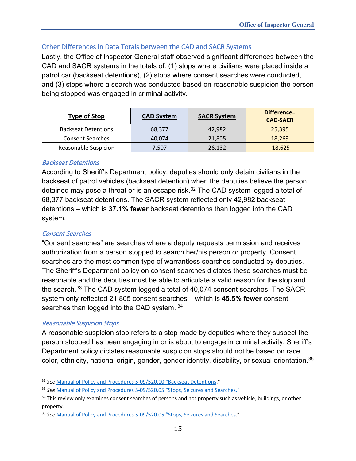### <span id="page-15-0"></span>Other Differences in Data Totals between the CAD and SACR Systems

Lastly, the Office of Inspector General staff observed significant differences between the CAD and SACR systems in the totals of: (1) stops where civilians were placed inside a patrol car (backseat detentions), (2) stops where consent searches were conducted, and (3) stops where a search was conducted based on reasonable suspicion the person being stopped was engaged in criminal activity.

| <b>Type of Stop</b>        | <b>CAD System</b> | <b>SACR System</b> | Difference=<br><b>CAD-SACR</b> |
|----------------------------|-------------------|--------------------|--------------------------------|
| <b>Backseat Detentions</b> | 68,377            | 42,982             | 25,395                         |
| <b>Consent Searches</b>    | 40.074            | 21,805             | 18,269                         |
| Reasonable Suspicion       | 7,507             | 26,132             | $-18,625$                      |

#### <span id="page-15-1"></span>Backseat Detentions

According to Sheriff's Department policy, deputies should only detain civilians in the backseat of patrol vehicles (backseat detention) when the deputies believe the person detained may pose a threat or is an escape risk.<sup>32</sup> The CAD system logged a total of 68,377 backseat detentions. The SACR system reflected only 42,982 backseat detentions – which is **37.1% fewer** backseat detentions than logged into the CAD system.

#### <span id="page-15-2"></span>Consent Searches

"Consent searches" are searches where a deputy requests permission and receives authorization from a person stopped to search her/his person or property. Consent searches are the most common type of warrantless searches conducted by deputies. The Sheriff's Department policy on consent searches dictates these searches must be reasonable and the deputies must be able to articulate a valid reason for the stop and the search. [33](#page-15-5) The CAD system logged a total of 40,074 consent searches. The SACR system only reflected 21,805 consent searches – which is **45.5% fewer** consent searches than logged into the CAD system. [34](#page-15-6)

#### <span id="page-15-3"></span>Reasonable Suspicion Stops

A reasonable suspicion stop refers to a stop made by deputies where they suspect the person stopped has been engaging in or is about to engage in criminal activity. Sheriff's Department policy dictates reasonable suspicion stops should not be based on race, color, ethnicity, national origin, gender, gender identity, disability, or sexual orientation. [35](#page-15-7) 

<span id="page-15-4"></span><sup>32</sup> *See* [Manual of Policy and Procedures 5-09/520.10 "Backseat Detentions."](http://pars.lasd.org/Viewer/Manuals/12285/Content/12494?showHistorical=True)

<span id="page-15-5"></span><sup>33</sup> *See* [Manual of Policy and Procedures 5-09/520.05 "Stops, Seizures and Searches."](http://pars.lasd.org/Viewer/Manuals/12285/Content/12493?showHistorical=True)

<span id="page-15-6"></span><sup>&</sup>lt;sup>34</sup> This review only examines consent searches of persons and not property such as vehicle, buildings, or other property.

<span id="page-15-7"></span><sup>35</sup> *See* [Manual of Policy and Procedures 5-09/520.05 "Stops, Seizures and Searches.](http://pars.lasd.org/Viewer/Manuals/12285/Content/12493?showHistorical=True)"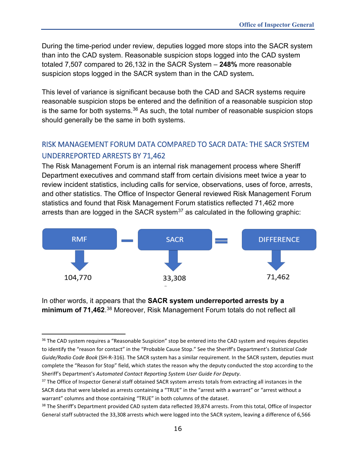During the time-period under review, deputies logged more stops into the SACR system than into the CAD system. Reasonable suspicion stops logged into the CAD system totaled 7,507 compared to 26,132 in the SACR System – **248%** more reasonable suspicion stops logged in the SACR system than in the CAD system**.**

This level of variance is significant because both the CAD and SACR systems require reasonable suspicion stops be entered and the definition of a reasonable suspicion stop is the same for both systems. $36$  As such, the total number of reasonable suspicion stops should generally be the same in both systems.

## <span id="page-16-0"></span>RISK MANAGEMENT FORUM DATA COMPARED TO SACR DATA: THE SACR SYSTEM UNDERREPORTED ARRESTS BY 71,462

The Risk Management Forum is an internal risk management process where Sheriff Department executives and command staff from certain divisions meet twice a year to review incident statistics, including calls for service, observations, uses of force, arrests, and other statistics. The Office of Inspector General reviewed Risk Management Forum statistics and found that Risk Management Forum statistics reflected 71,462 more arrests than are logged in the SACR system<sup>[37](#page-16-2)</sup> as calculated in the following graphic:



In other words, it appears that the **SACR system underreported arrests by a minimum of 71,462**. [38](#page-16-3) Moreover, Risk Management Forum totals do not reflect all

<span id="page-16-1"></span><sup>&</sup>lt;sup>36</sup> The CAD system requires a "Reasonable Suspicion" stop be entered into the CAD system and requires deputies to identify the "reason for contact" in the "Probable Cause Stop." See the Sheriff's Department's *Statistical Code Guide/Radio Code Book* (SH-R-316). The SACR system has a similar requirement. In the SACR system, deputies must complete the "Reason for Stop" field, which states the reason why the deputy conducted the stop according to the Sheriff's Department's *Automated Contact Reporting System User Guide For Deputy*.

<span id="page-16-2"></span><sup>&</sup>lt;sup>37</sup> The Office of Inspector General staff obtained SACR system arrests totals from extracting all instances in the SACR data that were labeled as arrests containing a "TRUE" in the "arrest with a warrant" or "arrest without a warrant" columns and those containing "TRUE" in both columns of the dataset.

<span id="page-16-3"></span><sup>&</sup>lt;sup>38</sup> The Sheriff's Department provided CAD system data reflected 39,874 arrests. From this total, Office of Inspector General staff subtracted the 33,308 arrests which were logged into the SACR system, leaving a difference of 6,566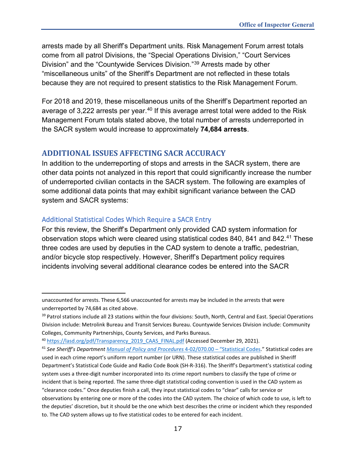arrests made by all Sheriff's Department units. Risk Management Forum arrest totals come from all patrol Divisions, the "Special Operations Division," "Court Services Division" and the "Countywide Services Division."[39](#page-17-2) Arrests made by other "miscellaneous units" of the Sheriff's Department are not reflected in these totals because they are not required to present statistics to the Risk Management Forum.

For 2018 and 2019, these miscellaneous units of the Sheriff's Department reported an average of 3,222 arrests per year.<sup>[40](#page-17-3)</sup> If this average arrest total were added to the Risk Management Forum totals stated above, the total number of arrests underreported in the SACR system would increase to approximately **74,684 arrests**.

#### <span id="page-17-0"></span>**ADDITIONAL ISSUES AFFECTING SACR ACCURACY**

In addition to the underreporting of stops and arrests in the SACR system, there are other data points not analyzed in this report that could significantly increase the number of underreported civilian contacts in the SACR system. The following are examples of some additional data points that may exhibit significant variance between the CAD system and SACR systems:

#### <span id="page-17-1"></span>Additional Statistical Codes Which Require a SACR Entry

For this review, the Sheriff's Department only provided CAD system information for observation stops which were cleared using statistical codes 840, 8[41](#page-17-4) and 842.<sup>41</sup> These three codes are used by deputies in the CAD system to denote a traffic, pedestrian, and/or bicycle stop respectively. However, Sheriff's Department policy requires incidents involving several additional clearance codes be entered into the SACR

unaccounted for arrests. These 6,566 unaccounted for arrests may be included in the arrests that were underreported by 74,684 as cited above.

<span id="page-17-2"></span><sup>&</sup>lt;sup>39</sup> Patrol stations include all 23 stations within the four divisions: South, North, Central and East. Special Operations Division include: Metrolink Bureau and Transit Services Bureau. Countywide Services Division include: Community Colleges, Community Partnerships, County Services, and Parks Bureaus.

<span id="page-17-3"></span><sup>&</sup>lt;sup>40</sup> [https://lasd.org/pdf/Transparency\\_2019\\_CAAS\\_FINAL.pdf](https://lasd.org/pdf/Transparency_2019_CAAS_FINAL.pdf) (Accessed December 29, 2021).

<span id="page-17-4"></span><sup>41</sup> *See Sheriff's Departmen[t Manual of Policy and Procedures](http://pars.lasd.org/Viewer/Manuals/11334/Content/11345?showHistorical=True)* 4-02/070.00 – "Statistical Codes." Statistical codes are used in each crime report's uniform report number (or URN). These statistical codes are published in Sheriff Department's Statistical Code Guide and Radio Code Book (SH-R-316). The Sheriff's Department's statistical coding system uses a three-digit number incorporated into its crime report numbers to classify the type of crime or incident that is being reported. The same three-digit statistical coding convention is used in the CAD system as "clearance codes." Once deputies finish a call, they input statistical codes to "clear" calls for service or observations by entering one or more of the codes into the CAD system. The choice of which code to use, is left to the deputies' discretion, but it should be the one which best describes the crime or incident which they responded to. The CAD system allows up to five statistical codes to be entered for each incident.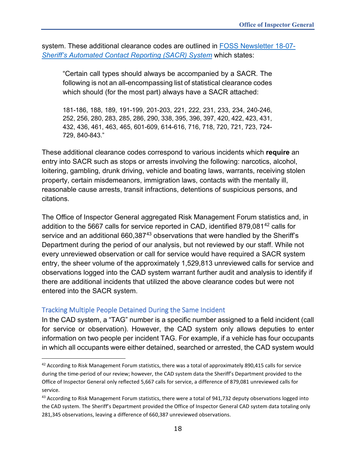system. These additional clearance codes are outlined in [FOSS Newsletter 18-07-](http://pars.lasd.org/Viewer/Manuals/15183/Content/19119?showHistorical=True) *[Sheriff's Automated Contact Reporting \(SACR\) System](http://pars.lasd.org/Viewer/Manuals/15183/Content/19119?showHistorical=True)* which states:

"Certain call types should always be accompanied by a SACR. The following is not an all-encompassing list of statistical clearance codes which should (for the most part) always have a SACR attached:

181-186, 188, 189, 191-199, 201-203, 221, 222, 231, 233, 234, 240-246, 252, 256, 280, 283, 285, 286, 290, 338, 395, 396, 397, 420, 422, 423, 431, 432, 436, 461, 463, 465, 601-609, 614-616, 716, 718, 720, 721, 723, 724- 729, 840-843."

These additional clearance codes correspond to various incidents which **require** an entry into SACR such as stops or arrests involving the following: narcotics, alcohol, loitering, gambling, drunk driving, vehicle and boating laws, warrants, receiving stolen property, certain misdemeanors, immigration laws, contacts with the mentally ill, reasonable cause arrests, transit infractions, detentions of suspicious persons, and citations.

The Office of Inspector General aggregated Risk Management Forum statistics and, in addition to the 5667 calls for service reported in CAD, identified 879,081[42](#page-18-1) calls for service and an additional 660,387<sup>[43](#page-18-2)</sup> observations that were handled by the Sheriff's Department during the period of our analysis, but not reviewed by our staff. While not every unreviewed observation or call for service would have required a SACR system entry, the sheer volume of the approximately 1,529,813 unreviewed calls for service and observations logged into the CAD system warrant further audit and analysis to identify if there are additional incidents that utilized the above clearance codes but were not entered into the SACR system.

#### <span id="page-18-0"></span>Tracking Multiple People Detained During the Same Incident

In the CAD system, a "TAG" number is a specific number assigned to a field incident (call for service or observation). However, the CAD system only allows deputies to enter information on two people per incident TAG. For example, if a vehicle has four occupants in which all occupants were either detained, searched or arrested, the CAD system would

<span id="page-18-1"></span><sup>&</sup>lt;sup>42</sup> According to Risk Management Forum statistics, there was a total of approximately 890,415 calls for service during the time-period of our review; however, the CAD system data the Sheriff's Department provided to the Office of Inspector General only reflected 5,667 calls for service, a difference of 879,081 unreviewed calls for service.

<span id="page-18-2"></span><sup>&</sup>lt;sup>43</sup> According to Risk Management Forum statistics, there were a total of 941,732 deputy observations logged into the CAD system. The Sheriff's Department provided the Office of Inspector General CAD system data totaling only 281,345 observations, leaving a difference of 660,387 unreviewed observations.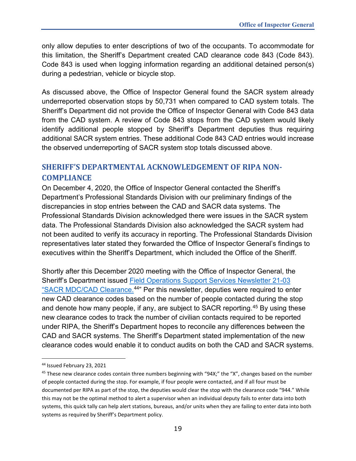only allow deputies to enter descriptions of two of the occupants. To accommodate for this limitation, the Sheriff's Department created CAD clearance code 843 (Code 843). Code 843 is used when logging information regarding an additional detained person(s) during a pedestrian, vehicle or bicycle stop.

As discussed above, the Office of Inspector General found the SACR system already underreported observation stops by 50,731 when compared to CAD system totals. The Sheriff's Department did not provide the Office of Inspector General with Code 843 data from the CAD system. A review of Code 843 stops from the CAD system would likely identify additional people stopped by Sheriff's Department deputies thus requiring additional SACR system entries. These additional Code 843 CAD entries would increase the observed underreporting of SACR system stop totals discussed above.

## <span id="page-19-0"></span>**SHERIFF'S DEPARTMENTAL ACKNOWLEDGEMENT OF RIPA NON-COMPLIANCE**

On December 4, 2020, the Office of Inspector General contacted the Sheriff's Department's Professional Standards Division with our preliminary findings of the discrepancies in stop entries between the CAD and SACR data systems. The Professional Standards Division acknowledged there were issues in the SACR system data. The Professional Standards Division also acknowledged the SACR system had not been audited to verify its accuracy in reporting. The Professional Standards Division representatives later stated they forwarded the Office of Inspector General's findings to executives within the Sheriff's Department, which included the Office of the Sheriff.

Shortly after this December 2020 meeting with the Office of Inspector General, the Sheriff's Department issued [Field Operations Support Services](http://pars.lasd.org/Viewer/Manuals/15183/Content/19121?showHistorical=True) Newsletter 21-03 ["SACR MDC/CAD Clearance.](http://pars.lasd.org/Viewer/Manuals/15183/Content/19121?showHistorical=True)<sup>[44](#page-19-1)"</sup> Per this newsletter, deputies were required to enter new CAD clearance codes based on the number of people contacted during the stop and denote how many people, if any, are subject to SACR reporting.<sup>45</sup> By using these new clearance codes to track the number of civilian contacts required to be reported under RIPA, the Sheriff's Department hopes to reconcile any differences between the CAD and SACR systems. The Sheriff's Department stated implementation of the new clearance codes would enable it to conduct audits on both the CAD and SACR systems.

<span id="page-19-1"></span><sup>44</sup> Issued February 23, 2021

<span id="page-19-2"></span><sup>&</sup>lt;sup>45</sup> These new clearance codes contain three numbers beginning with "94X;" the "X", changes based on the number of people contacted during the stop. For example, if four people were contacted, and if all four must be documented per RIPA as part of the stop, the deputies would clear the stop with the clearance code "944." While this may not be the optimal method to alert a supervisor when an individual deputy fails to enter data into both systems, this quick tally can help alert stations, bureaus, and/or units when they are failing to enter data into both systems as required by Sheriff's Department policy.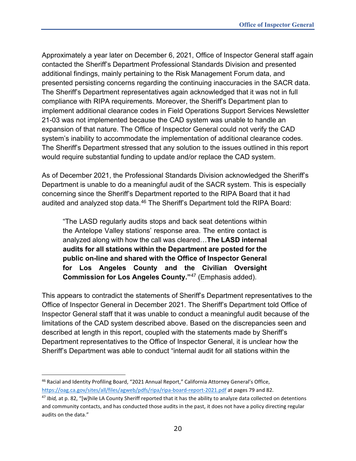Approximately a year later on December 6, 2021, Office of Inspector General staff again contacted the Sheriff's Department Professional Standards Division and presented additional findings, mainly pertaining to the Risk Management Forum data, and presented persisting concerns regarding the continuing inaccuracies in the SACR data. The Sheriff's Department representatives again acknowledged that it was not in full compliance with RIPA requirements. Moreover, the Sheriff's Department plan to implement additional clearance codes in Field Operations Support Services Newsletter 21-03 was not implemented because the CAD system was unable to handle an expansion of that nature. The Office of Inspector General could not verify the CAD system's inability to accommodate the implementation of additional clearance codes. The Sheriff's Department stressed that any solution to the issues outlined in this report would require substantial funding to update and/or replace the CAD system.

As of December 2021, the Professional Standards Division acknowledged the Sheriff's Department is unable to do a meaningful audit of the SACR system. This is especially concerning since the Sheriff's Department reported to the RIPA Board that it had audited and analyzed stop data.<sup>[46](#page-20-0)</sup> The Sheriff's Department told the RIPA Board:

"The LASD regularly audits stops and back seat detentions within the Antelope Valley stations' response area. The entire contact is analyzed along with how the call was cleared…**The LASD internal audits for all stations within the Department are posted for the public on-line and shared with the Office of Inspector General for Los Angeles County and the Civilian Oversight Commission for Los Angeles County."**[47](#page-20-1) (Emphasis added).

This appears to contradict the statements of Sheriff's Department representatives to the Office of Inspector General in December 2021. The Sheriff's Department told Office of Inspector General staff that it was unable to conduct a meaningful audit because of the limitations of the CAD system described above. Based on the discrepancies seen and described at length in this report, coupled with the statements made by Sheriff's Department representatives to the Office of Inspector General, it is unclear how the Sheriff's Department was able to conduct "internal audit for all stations within the

<span id="page-20-0"></span><sup>46</sup> Racial and Identity Profiling Board, "2021 Annual Report," California Attorney General's Office, <https://oag.ca.gov/sites/all/files/agweb/pdfs/ripa/ripa-board-report-2021.pdf> at pages 79 and 82.

<span id="page-20-1"></span><sup>47</sup> *Ibid,* at p. 82, "[w]hile LA County Sheriff reported that it has the ability to analyze data collected on detentions and community contacts, and has conducted those audits in the past, it does not have a policy directing regular audits on the data."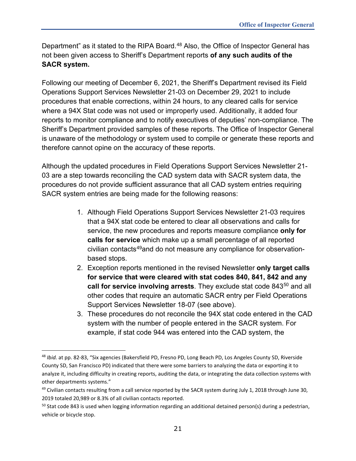Department" as it stated to the RIPA Board.<sup>[48](#page-21-0)</sup> Also, the Office of Inspector General has not been given access to Sheriff's Department reports **of any such audits of the SACR system.**

Following our meeting of December 6, 2021, the Sheriff's Department revised its Field Operations Support Services Newsletter 21-03 on December 29, 2021 to include procedures that enable corrections, within 24 hours, to any cleared calls for service where a 94X Stat code was not used or improperly used. Additionally, it added four reports to monitor compliance and to notify executives of deputies' non-compliance. The Sheriff's Department provided samples of these reports. The Office of Inspector General is unaware of the methodology or system used to compile or generate these reports and therefore cannot opine on the accuracy of these reports.

Although the updated procedures in Field Operations Support Services Newsletter 21- 03 are a step towards reconciling the CAD system data with SACR system data, the procedures do not provide sufficient assurance that all CAD system entries requiring SACR system entries are being made for the following reasons:

- 1. Although Field Operations Support Services Newsletter 21-03 requires that a 94X stat code be entered to clear all observations and calls for service, the new procedures and reports measure compliance **only for calls for service** which make up a small percentage of all reported civilian contacts<sup>[49](#page-21-1)</sup>and do not measure any compliance for observationbased stops.
- 2. Exception reports mentioned in the revised Newsletter **only target calls for service that were cleared with stat codes 840, 841, 842 and any call for service involving arrests**. They exclude stat code 843<sup>[50](#page-21-2)</sup> and all other codes that require an automatic SACR entry per Field Operations Support Services Newsletter 18-07 (see above).
- 3. These procedures do not reconcile the 94X stat code entered in the CAD system with the number of people entered in the SACR system. For example, if stat code 944 was entered into the CAD system, the

<span id="page-21-0"></span><sup>48</sup> *Ibid.* at pp. 82-83, "Six agencies (Bakersfield PD, Fresno PD, Long Beach PD, Los Angeles County SD, Riverside County SD, San Francisco PD) indicated that there were some barriers to analyzing the data or exporting it to analyze it, including difficulty in creating reports, auditing the data, or integrating the data collection systems with other departments systems."

<span id="page-21-1"></span> $49$  Civilian contacts resulting from a call service reported by the SACR system during July 1, 2018 through June 30, 2019 totaled 20,989 or 8.3% of all civilian contacts reported.

<span id="page-21-2"></span> $50$  Stat code 843 is used when logging information regarding an additional detained person(s) during a pedestrian, vehicle or bicycle stop.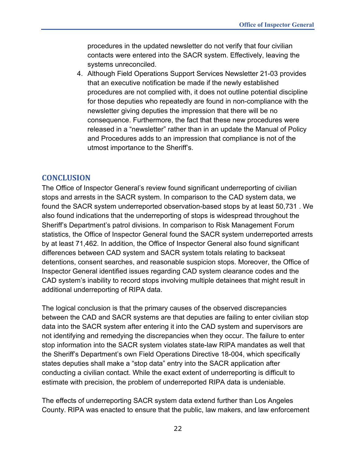procedures in the updated newsletter do not verify that four civilian contacts were entered into the SACR system. Effectively, leaving the systems unreconciled.

4. Although Field Operations Support Services Newsletter 21-03 provides that an executive notification be made if the newly established procedures are not complied with, it does not outline potential discipline for those deputies who repeatedly are found in non-compliance with the newsletter giving deputies the impression that there will be no consequence. Furthermore, the fact that these new procedures were released in a "newsletter" rather than in an update the Manual of Policy and Procedures adds to an impression that compliance is not of the utmost importance to the Sheriff's.

## <span id="page-22-0"></span>**CONCLUSION**

The Office of Inspector General's review found significant underreporting of civilian stops and arrests in the SACR system. In comparison to the CAD system data, we found the SACR system underreported observation-based stops by at least 50,731 . We also found indications that the underreporting of stops is widespread throughout the Sheriff's Department's patrol divisions. In comparison to Risk Management Forum statistics, the Office of Inspector General found the SACR system underreported arrests by at least 71,462. In addition, the Office of Inspector General also found significant differences between CAD system and SACR system totals relating to backseat detentions, consent searches, and reasonable suspicion stops. Moreover, the Office of Inspector General identified issues regarding CAD system clearance codes and the CAD system's inability to record stops involving multiple detainees that might result in additional underreporting of RIPA data.

The logical conclusion is that the primary causes of the observed discrepancies between the CAD and SACR systems are that deputies are failing to enter civilian stop data into the SACR system after entering it into the CAD system and supervisors are not identifying and remedying the discrepancies when they occur. The failure to enter stop information into the SACR system violates state-law RIPA mandates as well that the Sheriff's Department's own Field Operations Directive 18-004, which specifically states deputies shall make a "stop data" entry into the SACR application after conducting a civilian contact. While the exact extent of underreporting is difficult to estimate with precision, the problem of underreported RIPA data is undeniable.

The effects of underreporting SACR system data extend further than Los Angeles County. RIPA was enacted to ensure that the public, law makers, and law enforcement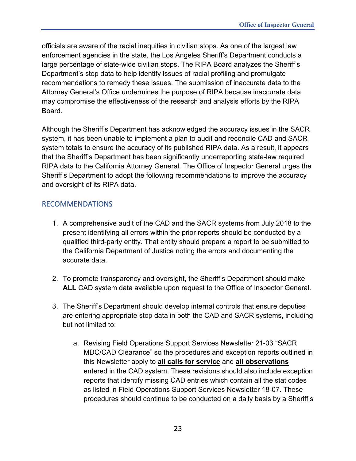officials are aware of the racial inequities in civilian stops. As one of the largest law enforcement agencies in the state, the Los Angeles Sheriff's Department conducts a large percentage of state-wide civilian stops. The RIPA Board analyzes the Sheriff's Department's stop data to help identify issues of racial profiling and promulgate recommendations to remedy these issues. The submission of inaccurate data to the Attorney General's Office undermines the purpose of RIPA because inaccurate data may compromise the effectiveness of the research and analysis efforts by the RIPA Board.

Although the Sheriff's Department has acknowledged the accuracy issues in the SACR system, it has been unable to implement a plan to audit and reconcile CAD and SACR system totals to ensure the accuracy of its published RIPA data. As a result, it appears that the Sheriff's Department has been significantly underreporting state-law required RIPA data to the California Attorney General. The Office of Inspector General urges the Sheriff's Department to adopt the following recommendations to improve the accuracy and oversight of its RIPA data.

## <span id="page-23-0"></span>RECOMMENDATIONS

- 1. A comprehensive audit of the CAD and the SACR systems from July 2018 to the present identifying all errors within the prior reports should be conducted by a qualified third-party entity. That entity should prepare a report to be submitted to the California Department of Justice noting the errors and documenting the accurate data.
- 2. To promote transparency and oversight, the Sheriff's Department should make **ALL** CAD system data available upon request to the Office of Inspector General.
- 3. The Sheriff's Department should develop internal controls that ensure deputies are entering appropriate stop data in both the CAD and SACR systems, including but not limited to:
	- a. Revising Field Operations Support Services Newsletter 21-03 "SACR MDC/CAD Clearance" so the procedures and exception reports outlined in this Newsletter apply to **all calls for service** and **all observations**  entered in the CAD system. These revisions should also include exception reports that identify missing CAD entries which contain all the stat codes as listed in Field Operations Support Services Newsletter 18-07. These procedures should continue to be conducted on a daily basis by a Sheriff's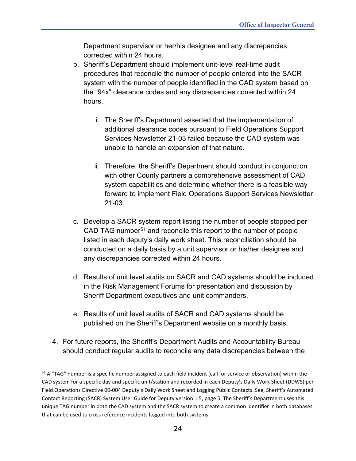Department supervisor or her/his designee and any discrepancies corrected within 24 hours.

- b. Sheriff's Department should implement unit-level real-time audit procedures that reconcile the number of people entered into the SACR system with the number of people identified in the CAD system based on the "94x" clearance codes and any discrepancies corrected within 24 hours.
	- i. The Sheriff's Department asserted that the implementation of additional clearance codes pursuant to Field Operations Support Services Newsletter 21-03 failed because the CAD system was unable to handle an expansion of that nature.
	- ii. Therefore, the Sheriff's Department should conduct in conjunction with other County partners a comprehensive assessment of CAD system capabilities and determine whether there is a feasible way forward to implement Field Operations Support Services Newsletter 21-03.
- c. Develop a SACR system report listing the number of people stopped per CAD TAG number<sup>[51](#page-24-0)</sup> and reconcile this report to the number of people listed in each deputy's daily work sheet. This reconciliation should be conducted on a daily basis by a unit supervisor or his/her designee and any discrepancies corrected within 24 hours.
- d. Results of unit level audits on SACR and CAD systems should be included in the Risk Management Forums for presentation and discussion by Sheriff Department executives and unit commanders.
- e. Results of unit level audits of SACR and CAD systems should be published on the Sheriff's Department website on a monthly basis.
- 4. For future reports, the Sheriff's Department Audits and Accountability Bureau should conduct regular audits to reconcile any data discrepancies between the

<span id="page-24-0"></span> $51$  A "TAG" number is a specific number assigned to each field incident (call for service or observation) within the CAD system for a specific day and specific unit/station and recorded in each Deputy's Daily Work Sheet (DDWS) per Field Operations Directive 00-004 Deputy's Daily Work Sheet and Logging Public Contacts. See, Sheriff's Automated Contact Reporting (SACR) System User Guide for Deputy version 1.5, page 5. The Sheriff's Department uses this unique TAG number in both the CAD system and the SACR system to create a common identifier in both databases that can be used to cross reference incidents logged into both systems.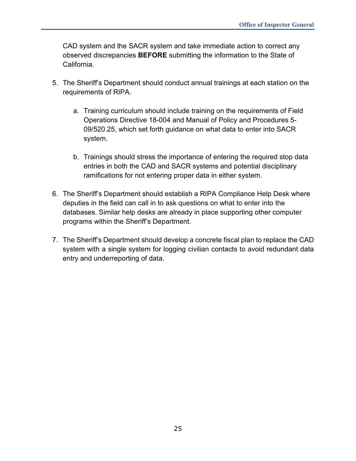CAD system and the SACR system and take immediate action to correct any observed discrepancies **BEFORE** submitting the information to the State of California.

- 5. The Sheriff's Department should conduct annual trainings at each station on the requirements of RIPA.
	- a. Training curriculum should include training on the requirements of Field Operations Directive 18-004 and Manual of Policy and Procedures 5- 09/520.25, which set forth guidance on what data to enter into SACR system.
	- b. Trainings should stress the importance of entering the required stop data entries in both the CAD and SACR systems and potential disciplinary ramifications for not entering proper data in either system.
- 6. The Sheriff's Department should establish a RIPA Compliance Help Desk where deputies in the field can call in to ask questions on what to enter into the databases. Similar help desks are already in place supporting other computer programs within the Sheriff's Department.
- 7. The Sheriff's Department should develop a concrete fiscal plan to replace the CAD system with a single system for logging civilian contacts to avoid redundant data entry and underreporting of data.